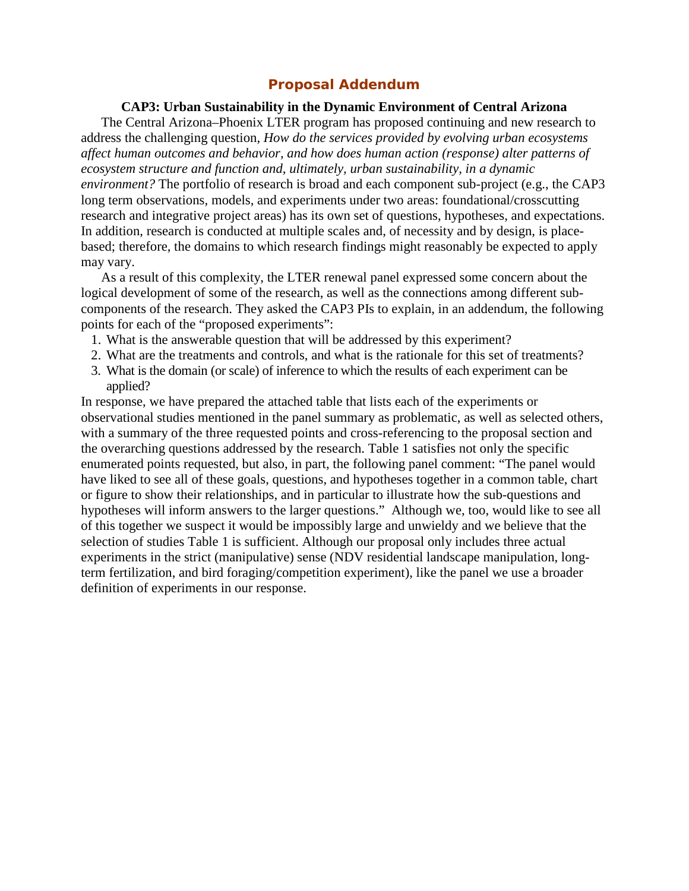## **Proposal Addendum**

## **CAP3: Urban Sustainability in the Dynamic Environment of Central Arizona**

The Central Arizona–Phoenix LTER program has proposed continuing and new research to address the challenging question, *How do the services provided by evolving urban ecosystems affect human outcomes and behavior, and how does human action (response) alter patterns of ecosystem structure and function and, ultimately, urban sustainability, in a dynamic environment?* The portfolio of research is broad and each component sub-project (e.g., the CAP3 long term observations, models, and experiments under two areas: foundational/crosscutting research and integrative project areas) has its own set of questions, hypotheses, and expectations. In addition, research is conducted at multiple scales and, of necessity and by design, is placebased; therefore, the domains to which research findings might reasonably be expected to apply may vary.

As a result of this complexity, the LTER renewal panel expressed some concern about the logical development of some of the research, as well as the connections among different subcomponents of the research. They asked the CAP3 PIs to explain, in an addendum, the following points for each of the "proposed experiments":

- 1. What is the answerable question that will be addressed by this experiment?
- 2. What are the treatments and controls, and what is the rationale for this set of treatments?
- 3. What is the domain (or scale) of inference to which the results of each experiment can be applied?

In response, we have prepared the attached table that lists each of the experiments or observational studies mentioned in the panel summary as problematic, as well as selected others, with a summary of the three requested points and cross-referencing to the proposal section and the overarching questions addressed by the research. Table 1 satisfies not only the specific enumerated points requested, but also, in part, the following panel comment: "The panel would have liked to see all of these goals, questions, and hypotheses together in a common table, chart or figure to show their relationships, and in particular to illustrate how the sub-questions and hypotheses will inform answers to the larger questions." Although we, too, would like to see all of this together we suspect it would be impossibly large and unwieldy and we believe that the selection of studies Table 1 is sufficient. Although our proposal only includes three actual experiments in the strict (manipulative) sense (NDV residential landscape manipulation, longterm fertilization, and bird foraging/competition experiment), like the panel we use a broader definition of experiments in our response.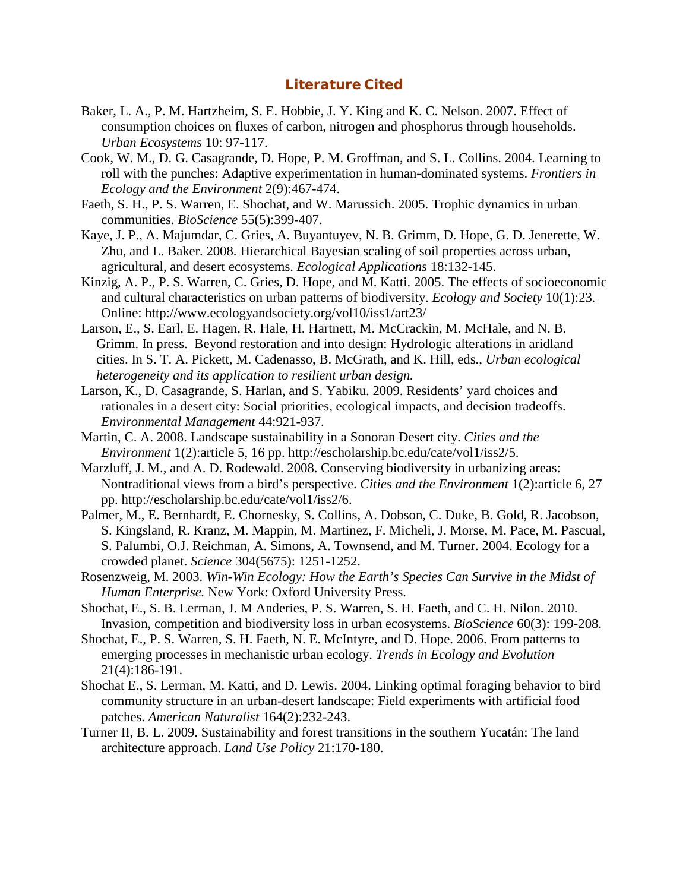## **Literature Cited**

- Baker, L. A., P. M. Hartzheim, S. E. Hobbie, J. Y. King and K. C. Nelson. 2007. Effect of consumption choices on fluxes of carbon, nitrogen and phosphorus through households. *Urban Ecosystems* 10: 97-117.
- Cook, W. M., D. G. Casagrande, D. Hope, P. M. Groffman, and S. L. Collins. 2004. Learning to roll with the punches: Adaptive experimentation in human-dominated systems. *Frontiers in Ecology and the Environment* 2(9):467-474.
- Faeth, S. H., P. S. Warren, E. Shochat, and W. Marussich. 2005. Trophic dynamics in urban communities. *BioScience* 55(5):399-407.
- Kaye, J. P., A. Majumdar, C. Gries, A. Buyantuyev, N. B. Grimm, D. Hope, G. D. Jenerette, W. Zhu, and L. Baker. 2008. Hierarchical Bayesian scaling of soil properties across urban, agricultural, and desert ecosystems. *Ecological Applications* 18:132-145.
- Kinzig, A. P., P. S. Warren, C. Gries, D. Hope, and M. Katti. 2005. The effects of socioeconomic and cultural characteristics on urban patterns of biodiversity. *Ecology and Society* 10(1):23*.*  Online: http://www.ecologyandsociety.org/vol10/iss1/art23/
- Larson, E., S. Earl, E. Hagen, R. Hale, H. Hartnett, M. McCrackin, M. McHale, and N. B. Grimm. In press. Beyond restoration and into design: Hydrologic alterations in aridland cities. In S. T. A. Pickett, M. Cadenasso, B. McGrath, and K. Hill, eds., *Urban ecological heterogeneity and its application to resilient urban design.*
- Larson, K., D. Casagrande, S. Harlan, and S. Yabiku. 2009. Residents' yard choices and rationales in a desert city: Social priorities, ecological impacts, and decision tradeoffs. *Environmental Management* 44:921-937.
- Martin, C. A. 2008. Landscape sustainability in a Sonoran Desert city. *Cities and the Environment* 1(2):article 5, 16 pp. http://escholarship.bc.edu/cate/vol1/iss2/5.
- Marzluff, J. M., and A. D. Rodewald. 2008. Conserving biodiversity in urbanizing areas: Nontraditional views from a bird's perspective. *Cities and the Environment* 1(2):article 6, 27 pp. http://escholarship.bc.edu/cate/vol1/iss2/6.
- Palmer, M., E. Bernhardt, E. Chornesky, S. Collins, A. Dobson, C. Duke, B. Gold, R. Jacobson, S. Kingsland, R. Kranz, M. Mappin, M. Martinez, F. Micheli, J. Morse, M. Pace, M. Pascual, S. Palumbi, O.J. Reichman, A. Simons, A. Townsend, and M. Turner. 2004. Ecology for a crowded planet. *Science* 304(5675): 1251-1252.
- Rosenzweig, M. 2003. *Win-Win Ecology: How the Earth's Species Can Survive in the Midst of Human Enterprise.* New York: Oxford University Press.
- Shochat, E., S. B. Lerman, J. M Anderies, P. S. Warren, S. H. Faeth, and C. H. Nilon. 2010. Invasion, competition and biodiversity loss in urban ecosystems. *BioScience* 60(3): 199-208.
- Shochat, E., P. S. Warren, S. H. Faeth, N. E. McIntyre, and D. Hope. 2006. From patterns to emerging processes in mechanistic urban ecology. *Trends in Ecology and Evolution* 21(4):186-191.
- Shochat E., S. Lerman, M. Katti, and D. Lewis. 2004. Linking optimal foraging behavior to bird community structure in an urban-desert landscape: Field experiments with artificial food patches. *American Naturalist* 164(2):232-243.
- Turner II, B. L. 2009. Sustainability and forest transitions in the southern Yucatán: The land architecture approach. *Land Use Policy* 21:170-180.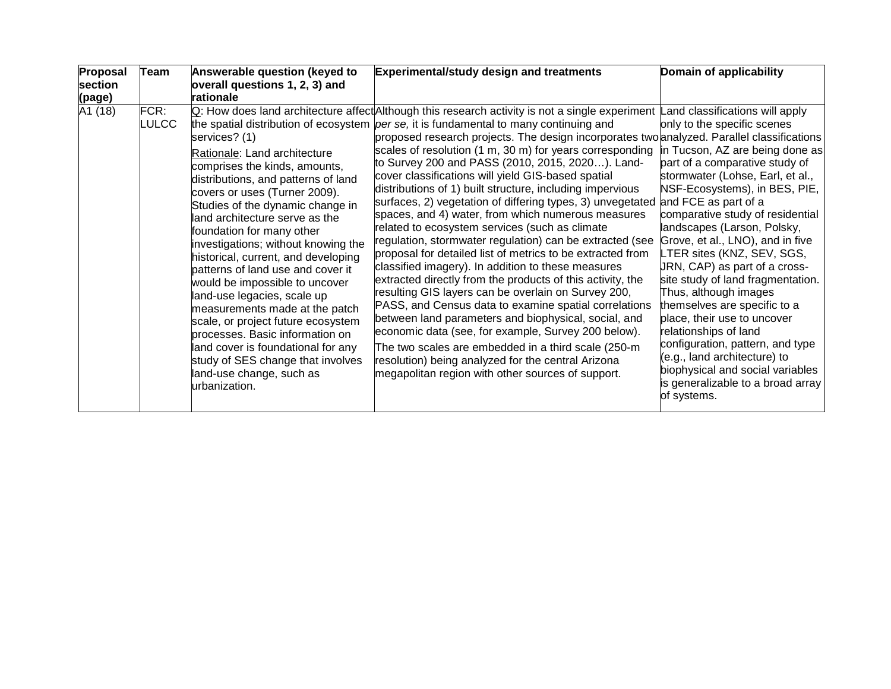| Proposal<br>section<br>(page) | Team          | Answerable question (keyed to<br>overall questions 1, 2, 3) and<br>rationale                                                                                                                                                                                                                                                                                                                                                                                                                                                                                                                                                                                                     | <b>Experimental/study design and treatments</b>                                                                                                                                                                                                                                                                                                                                                                                                                                                                                                                                                                                                                                                                                                                                                                                                                                                                                                                                                                                                                                                                                                                                                                                                                                                                                                         | Domain of applicability                                                                                                                                                                                                                                                                                                                                                                                                                                                                                                                                                                                                                                                                                                  |
|-------------------------------|---------------|----------------------------------------------------------------------------------------------------------------------------------------------------------------------------------------------------------------------------------------------------------------------------------------------------------------------------------------------------------------------------------------------------------------------------------------------------------------------------------------------------------------------------------------------------------------------------------------------------------------------------------------------------------------------------------|---------------------------------------------------------------------------------------------------------------------------------------------------------------------------------------------------------------------------------------------------------------------------------------------------------------------------------------------------------------------------------------------------------------------------------------------------------------------------------------------------------------------------------------------------------------------------------------------------------------------------------------------------------------------------------------------------------------------------------------------------------------------------------------------------------------------------------------------------------------------------------------------------------------------------------------------------------------------------------------------------------------------------------------------------------------------------------------------------------------------------------------------------------------------------------------------------------------------------------------------------------------------------------------------------------------------------------------------------------|--------------------------------------------------------------------------------------------------------------------------------------------------------------------------------------------------------------------------------------------------------------------------------------------------------------------------------------------------------------------------------------------------------------------------------------------------------------------------------------------------------------------------------------------------------------------------------------------------------------------------------------------------------------------------------------------------------------------------|
| A1 (18)                       | FCR:<br>LULCC | services? (1)<br>Rationale: Land architecture<br>comprises the kinds, amounts,<br>distributions, and patterns of land<br>covers or uses (Turner 2009).<br>Studies of the dynamic change in<br>land architecture serve as the<br>foundation for many other<br>investigations; without knowing the<br>historical, current, and developing<br>patterns of land use and cover it<br>would be impossible to uncover<br>land-use legacies, scale up<br>measurements made at the patch<br>scale, or project future ecosystem<br>processes. Basic information on<br>land cover is foundational for any<br>study of SES change that involves<br>land-use change, such as<br>urbanization. | Q: How does land architecture affect Although this research activity is not a single experiment<br>the spatial distribution of ecosystem <i>per se</i> , it is fundamental to many continuing and<br>proposed research projects. The design incorporates two analyzed. Parallel classifications<br>scales of resolution (1 m, 30 m) for years corresponding<br>to Survey 200 and PASS (2010, 2015, 2020). Land-<br>cover classifications will yield GIS-based spatial<br>distributions of 1) built structure, including impervious<br>surfaces, 2) vegetation of differing types, 3) unvegetated<br>spaces, and 4) water, from which numerous measures<br>related to ecosystem services (such as climate<br>regulation, stormwater regulation) can be extracted (see<br>proposal for detailed list of metrics to be extracted from<br>classified imagery). In addition to these measures<br>extracted directly from the products of this activity, the<br>resulting GIS layers can be overlain on Survey 200,<br>PASS, and Census data to examine spatial correlations<br>between land parameters and biophysical, social, and<br>economic data (see, for example, Survey 200 below).<br>The two scales are embedded in a third scale (250-m<br>resolution) being analyzed for the central Arizona<br>megapolitan region with other sources of support. | Land classifications will apply<br>only to the specific scenes<br>in Tucson, AZ are being done as<br>part of a comparative study of<br>stormwater (Lohse, Earl, et al.,<br>NSF-Ecosystems), in BES, PIE,<br>and FCE as part of a<br>comparative study of residential<br>landscapes (Larson, Polsky,<br>Grove, et al., LNO), and in five<br>LTER sites (KNZ, SEV, SGS,<br>URN, CAP) as part of a cross-<br>site study of land fragmentation.<br>Thus, although images<br>themselves are specific to a<br>place, their use to uncover<br>relationships of land<br>configuration, pattern, and type<br>(e.g., land architecture) to<br>biophysical and social variables<br>is generalizable to a broad array<br>of systems. |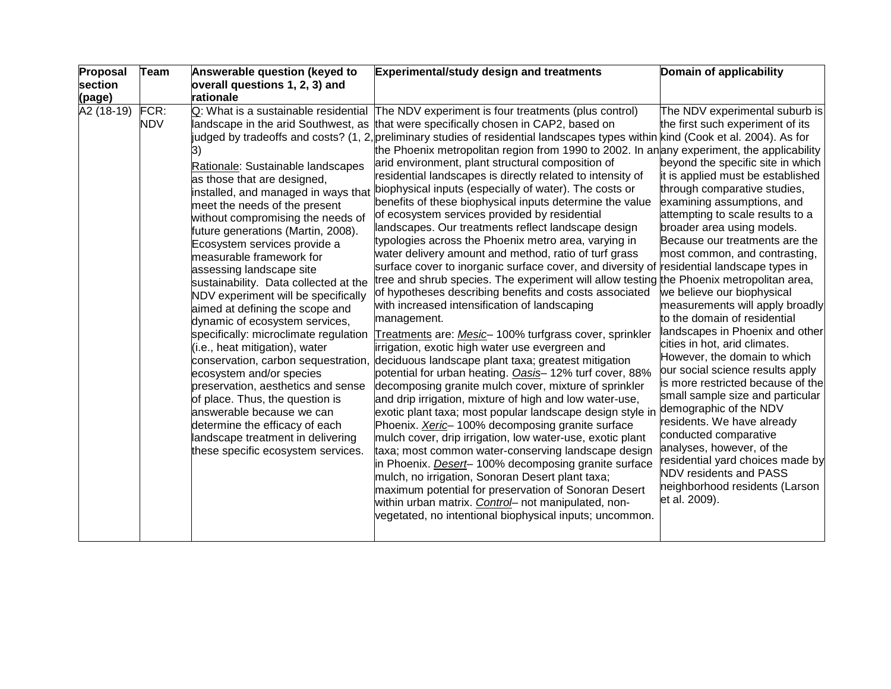| section<br>overall questions 1, 2, 3) and<br>rationale<br>(page)<br>A2 (18-19)<br>FCR:<br>Q: What is a sustainable residential<br>The NDV experiment is four treatments (plus control)<br>NDV<br>landscape in the arid Southwest, as<br>that were specifically chosen in CAP2, based on<br>judged by tradeoffs and costs? (1, 2, preliminary studies of residential landscapes types within kind (Cook et al. 2004). As for<br>the Phoenix metropolitan region from 1990 to 2002. In an any experiment, the applicability<br>arid environment, plant structural composition of<br>Rationale: Sustainable landscapes                                                                                                                                                                                                                                                                                                                                                                                                                                                                                                                                                                                                                                                                                                                                                                                                                                                                                                                                                                                                                                                                                                                                                                                                                                                                                                                                                                                                                                                                                                                                                                                                                   |                                                                                                                                                                                                                                                                                                                                                                                                                                                                                                                                                                                                                                                                                                                                                                                                                                                                                        |
|---------------------------------------------------------------------------------------------------------------------------------------------------------------------------------------------------------------------------------------------------------------------------------------------------------------------------------------------------------------------------------------------------------------------------------------------------------------------------------------------------------------------------------------------------------------------------------------------------------------------------------------------------------------------------------------------------------------------------------------------------------------------------------------------------------------------------------------------------------------------------------------------------------------------------------------------------------------------------------------------------------------------------------------------------------------------------------------------------------------------------------------------------------------------------------------------------------------------------------------------------------------------------------------------------------------------------------------------------------------------------------------------------------------------------------------------------------------------------------------------------------------------------------------------------------------------------------------------------------------------------------------------------------------------------------------------------------------------------------------------------------------------------------------------------------------------------------------------------------------------------------------------------------------------------------------------------------------------------------------------------------------------------------------------------------------------------------------------------------------------------------------------------------------------------------------------------------------------------------------|----------------------------------------------------------------------------------------------------------------------------------------------------------------------------------------------------------------------------------------------------------------------------------------------------------------------------------------------------------------------------------------------------------------------------------------------------------------------------------------------------------------------------------------------------------------------------------------------------------------------------------------------------------------------------------------------------------------------------------------------------------------------------------------------------------------------------------------------------------------------------------------|
|                                                                                                                                                                                                                                                                                                                                                                                                                                                                                                                                                                                                                                                                                                                                                                                                                                                                                                                                                                                                                                                                                                                                                                                                                                                                                                                                                                                                                                                                                                                                                                                                                                                                                                                                                                                                                                                                                                                                                                                                                                                                                                                                                                                                                                       |                                                                                                                                                                                                                                                                                                                                                                                                                                                                                                                                                                                                                                                                                                                                                                                                                                                                                        |
|                                                                                                                                                                                                                                                                                                                                                                                                                                                                                                                                                                                                                                                                                                                                                                                                                                                                                                                                                                                                                                                                                                                                                                                                                                                                                                                                                                                                                                                                                                                                                                                                                                                                                                                                                                                                                                                                                                                                                                                                                                                                                                                                                                                                                                       |                                                                                                                                                                                                                                                                                                                                                                                                                                                                                                                                                                                                                                                                                                                                                                                                                                                                                        |
| residential landscapes is directly related to intensity of<br>as those that are designed,<br>installed, and managed in ways that <i>biophysical inputs</i> (especially of water). The costs or<br>benefits of these biophysical inputs determine the value<br>meet the needs of the present<br>of ecosystem services provided by residential<br>without compromising the needs of<br>landscapes. Our treatments reflect landscape design<br>future generations (Martin, 2008).<br>typologies across the Phoenix metro area, varying in<br>Ecosystem services provide a<br>water delivery amount and method, ratio of turf grass<br>measurable framework for<br>surface cover to inorganic surface cover, and diversity of residential landscape types in<br>assessing landscape site<br>tree and shrub species. The experiment will allow testing the Phoenix metropolitan area,<br>sustainability. Data collected at the<br>of hypotheses describing benefits and costs associated<br>NDV experiment will be specifically<br>with increased intensification of landscaping<br>aimed at defining the scope and<br>management.<br>dynamic of ecosystem services,<br>specifically: microclimate regulation<br>Treatments are: Mesic-100% turfgrass cover, sprinkler<br>(i.e., heat mitigation), water<br>irrigation, exotic high water use evergreen and<br>conservation, carbon sequestration, deciduous landscape plant taxa; greatest mitigation<br>ecosystem and/or species<br>potential for urban heating. Oasis-12% turf cover, 88%<br>preservation, aesthetics and sense<br>decomposing granite mulch cover, mixture of sprinkler<br>of place. Thus, the question is<br>and drip irrigation, mixture of high and low water-use,<br>answerable because we can<br>exotic plant taxa; most popular landscape design style in<br>determine the efficacy of each<br>Phoenix. Xeric-100% decomposing granite surface<br>landscape treatment in delivering<br>mulch cover, drip irrigation, low water-use, exotic plant<br>these specific ecosystem services.<br>taxa; most common water-conserving landscape design<br>in Phoenix. <i>Desert</i> -100% decomposing granite surface<br>mulch, no irrigation, Sonoran Desert plant taxa; | The NDV experimental suburb is<br>the first such experiment of its<br>beyond the specific site in which<br>it is applied must be established<br>through comparative studies,<br>examining assumptions, and<br>attempting to scale results to a<br>broader area using models.<br>Because our treatments are the<br>most common, and contrasting,<br>we believe our biophysical<br>measurements will apply broadly<br>to the domain of residential<br>landscapes in Phoenix and other<br>cities in hot, arid climates.<br>However, the domain to which<br>our social science results apply<br>is more restricted because of the<br>small sample size and particular<br>demographic of the NDV<br>residents. We have already<br>conducted comparative<br>analyses, however, of the<br>residential yard choices made by<br><b>NDV residents and PASS</b><br>neighborhood residents (Larson |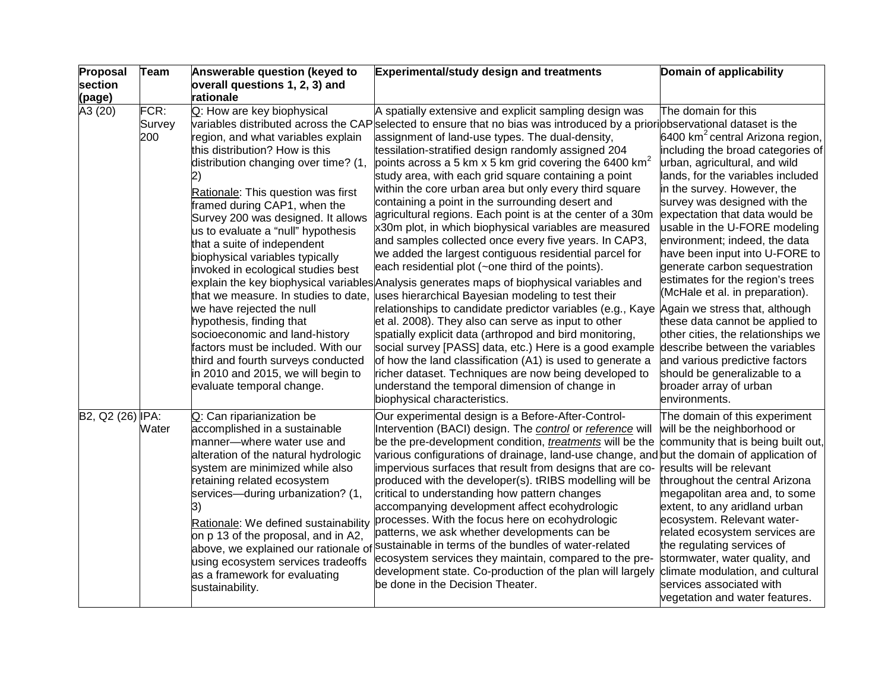| Proposal            | <b>Team</b>           | Answerable question (keyed to                                                                                                                                                                                                                                                                                                                                                                                                                                                                                                                                                                                                                                                          | Experimental/study design and treatments                                                                                                                                                                                                                                                                                                                                                                                                                                                                                                                                                                                                                                                                                                                                                                                                                                                                                                                                                                                                                                                                                                                                                                                                                                                                                                                                                                                                          | Domain of applicability                                                                                                                                                                                                                                                                                                                                                                                                                                                                                                                                                                                                                                                                                                                               |
|---------------------|-----------------------|----------------------------------------------------------------------------------------------------------------------------------------------------------------------------------------------------------------------------------------------------------------------------------------------------------------------------------------------------------------------------------------------------------------------------------------------------------------------------------------------------------------------------------------------------------------------------------------------------------------------------------------------------------------------------------------|---------------------------------------------------------------------------------------------------------------------------------------------------------------------------------------------------------------------------------------------------------------------------------------------------------------------------------------------------------------------------------------------------------------------------------------------------------------------------------------------------------------------------------------------------------------------------------------------------------------------------------------------------------------------------------------------------------------------------------------------------------------------------------------------------------------------------------------------------------------------------------------------------------------------------------------------------------------------------------------------------------------------------------------------------------------------------------------------------------------------------------------------------------------------------------------------------------------------------------------------------------------------------------------------------------------------------------------------------------------------------------------------------------------------------------------------------|-------------------------------------------------------------------------------------------------------------------------------------------------------------------------------------------------------------------------------------------------------------------------------------------------------------------------------------------------------------------------------------------------------------------------------------------------------------------------------------------------------------------------------------------------------------------------------------------------------------------------------------------------------------------------------------------------------------------------------------------------------|
| section             |                       | overall questions 1, 2, 3) and                                                                                                                                                                                                                                                                                                                                                                                                                                                                                                                                                                                                                                                         |                                                                                                                                                                                                                                                                                                                                                                                                                                                                                                                                                                                                                                                                                                                                                                                                                                                                                                                                                                                                                                                                                                                                                                                                                                                                                                                                                                                                                                                   |                                                                                                                                                                                                                                                                                                                                                                                                                                                                                                                                                                                                                                                                                                                                                       |
| (page)              |                       | rationale                                                                                                                                                                                                                                                                                                                                                                                                                                                                                                                                                                                                                                                                              |                                                                                                                                                                                                                                                                                                                                                                                                                                                                                                                                                                                                                                                                                                                                                                                                                                                                                                                                                                                                                                                                                                                                                                                                                                                                                                                                                                                                                                                   |                                                                                                                                                                                                                                                                                                                                                                                                                                                                                                                                                                                                                                                                                                                                                       |
| $\overline{A}3(20)$ | FCR:<br>Survey<br>200 | Q: How are key biophysical<br>region, and what variables explain<br>this distribution? How is this<br>distribution changing over time? (1,<br>Rationale: This question was first<br>framed during CAP1, when the<br>Survey 200 was designed. It allows<br>us to evaluate a "null" hypothesis<br>that a suite of independent<br>biophysical variables typically<br>invoked in ecological studies best<br>that we measure. In studies to date,<br>we have rejected the null<br>hypothesis, finding that<br>socioeconomic and land-history<br>factors must be included. With our<br>third and fourth surveys conducted<br>in 2010 and 2015, we will begin to<br>evaluate temporal change. | A spatially extensive and explicit sampling design was<br>variables distributed across the CAP selected to ensure that no bias was introduced by a prioriobservational dataset is the<br>assignment of land-use types. The dual-density,<br>tessilation-stratified design randomly assigned 204<br>points across a 5 km x 5 km grid covering the 6400 km <sup>2</sup><br>study area, with each grid square containing a point<br>within the core urban area but only every third square<br>containing a point in the surrounding desert and<br>agricultural regions. Each point is at the center of a 30m<br>x30m plot, in which biophysical variables are measured<br>and samples collected once every five years. In CAP3,<br>we added the largest contiguous residential parcel for<br>each residential plot (~one third of the points).<br>explain the key biophysical variables Analysis generates maps of biophysical variables and<br>uses hierarchical Bayesian modeling to test their<br>relationships to candidate predictor variables (e.g., Kaye<br>et al. 2008). They also can serve as input to other<br>spatially explicit data (arthropod and bird monitoring,<br>social survey [PASS] data, etc.) Here is a good example<br>of how the land classification (A1) is used to generate a<br>richer dataset. Techniques are now being developed to<br>understand the temporal dimension of change in<br>biophysical characteristics. | The domain for this<br>6400 km <sup>2</sup> central Arizona region,<br>including the broad categories of<br>urban, agricultural, and wild<br>lands, for the variables included<br>in the survey. However, the<br>survey was designed with the<br>expectation that data would be<br>usable in the U-FORE modeling<br>environment; indeed, the data<br>have been input into U-FORE to<br>generate carbon sequestration<br>estimates for the region's trees<br>(McHale et al. in preparation).<br>Again we stress that, although<br>these data cannot be applied to<br>other cities, the relationships we<br>describe between the variables<br>and various predictive factors<br>should be generalizable to a<br>broader array of urban<br>environments. |
| B2, Q2 (26) IPA:    | Water                 | Q: Can riparianization be<br>accomplished in a sustainable<br>manner-where water use and<br>alteration of the natural hydrologic<br>system are minimized while also<br>retaining related ecosystem<br>services-during urbanization? (1,<br>Rationale: We defined sustainability<br>on p 13 of the proposal, and in A2,<br>using ecosystem services tradeoffs<br>as a framework for evaluating<br>sustainability.                                                                                                                                                                                                                                                                       | Our experimental design is a Before-After-Control-<br>Intervention (BACI) design. The control or reference will<br>be the pre-development condition, <i>treatments</i> will be the<br>various configurations of drainage, land-use change, and but the domain of application of<br>impervious surfaces that result from designs that are co-<br>produced with the developer(s). tRIBS modelling will be<br>critical to understanding how pattern changes<br>accompanying development affect ecohydrologic<br>processes. With the focus here on ecohydrologic<br>patterns, we ask whether developments can be<br>above, we explained our rationale of sustainable in terms of the bundles of water-related<br>ecosystem services they maintain, compared to the pre-<br>development state. Co-production of the plan will largely<br>be done in the Decision Theater.                                                                                                                                                                                                                                                                                                                                                                                                                                                                                                                                                                              | The domain of this experiment<br>will be the neighborhood or<br>community that is being built out,<br>results will be relevant<br>throughout the central Arizona<br>megapolitan area and, to some<br>extent, to any aridland urban<br>ecosystem. Relevant water-<br>related ecosystem services are<br>the regulating services of<br>stormwater, water quality, and<br>climate modulation, and cultural<br>services associated with<br>vegetation and water features.                                                                                                                                                                                                                                                                                  |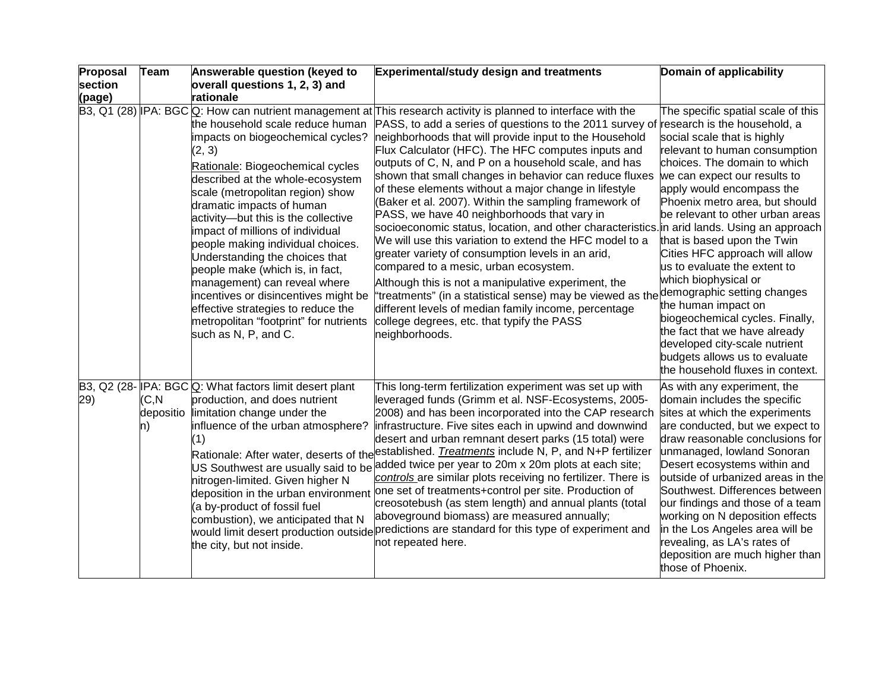| Proposal | <b>Team</b>               | Answerable question (keyed to                                                                                                                                                                                                                                                                                                                                                                                                                                                                                                                                                                 | <b>Experimental/study design and treatments</b>                                                                                                                                                                                                                                                                                                                                                                                                                                                                                                                                                                                                                                                                                                                                                                                                                                                                                                                                                                                                                                                                 | Domain of applicability                                                                                                                                                                                                                                                                                                                                                                                                                                                                                                                                                                                                        |
|----------|---------------------------|-----------------------------------------------------------------------------------------------------------------------------------------------------------------------------------------------------------------------------------------------------------------------------------------------------------------------------------------------------------------------------------------------------------------------------------------------------------------------------------------------------------------------------------------------------------------------------------------------|-----------------------------------------------------------------------------------------------------------------------------------------------------------------------------------------------------------------------------------------------------------------------------------------------------------------------------------------------------------------------------------------------------------------------------------------------------------------------------------------------------------------------------------------------------------------------------------------------------------------------------------------------------------------------------------------------------------------------------------------------------------------------------------------------------------------------------------------------------------------------------------------------------------------------------------------------------------------------------------------------------------------------------------------------------------------------------------------------------------------|--------------------------------------------------------------------------------------------------------------------------------------------------------------------------------------------------------------------------------------------------------------------------------------------------------------------------------------------------------------------------------------------------------------------------------------------------------------------------------------------------------------------------------------------------------------------------------------------------------------------------------|
| section  |                           | overall questions 1, 2, 3) and                                                                                                                                                                                                                                                                                                                                                                                                                                                                                                                                                                |                                                                                                                                                                                                                                                                                                                                                                                                                                                                                                                                                                                                                                                                                                                                                                                                                                                                                                                                                                                                                                                                                                                 |                                                                                                                                                                                                                                                                                                                                                                                                                                                                                                                                                                                                                                |
| (page)   |                           | rationale                                                                                                                                                                                                                                                                                                                                                                                                                                                                                                                                                                                     |                                                                                                                                                                                                                                                                                                                                                                                                                                                                                                                                                                                                                                                                                                                                                                                                                                                                                                                                                                                                                                                                                                                 |                                                                                                                                                                                                                                                                                                                                                                                                                                                                                                                                                                                                                                |
|          |                           | the household scale reduce human<br>impacts on biogeochemical cycles?<br>(2, 3)<br>Rationale: Biogeochemical cycles<br>described at the whole-ecosystem<br>scale (metropolitan region) show<br>dramatic impacts of human<br>activity-but this is the collective<br>impact of millions of individual<br>people making individual choices.<br>Understanding the choices that<br>people make (which is, in fact,<br>management) can reveal where<br>incentives or disincentives might be<br>effective strategies to reduce the<br>metropolitan "footprint" for nutrients<br>such as N, P, and C. | B3, Q1 (28) IPA: BGC Q: How can nutrient management at This research activity is planned to interface with the<br>PASS, to add a series of questions to the 2011 survey of research is the household, a<br>neighborhoods that will provide input to the Household<br>Flux Calculator (HFC). The HFC computes inputs and<br>outputs of C, N, and P on a household scale, and has<br>shown that small changes in behavior can reduce fluxes<br>of these elements without a major change in lifestyle<br>(Baker et al. 2007). Within the sampling framework of<br>PASS, we have 40 neighborhoods that vary in<br>socioeconomic status, location, and other characteristics. in arid lands. Using an approach<br>We will use this variation to extend the HFC model to a<br>greater variety of consumption levels in an arid,<br>compared to a mesic, urban ecosystem.<br>Although this is not a manipulative experiment, the<br>"treatments" (in a statistical sense) may be viewed as the<br>different levels of median family income, percentage<br>college degrees, etc. that typify the PASS<br>neighborhoods. | The specific spatial scale of this<br>social scale that is highly<br>relevant to human consumption<br>choices. The domain to which<br>we can expect our results to<br>apply would encompass the<br>Phoenix metro area, but should<br>be relevant to other urban areas<br>that is based upon the Twin<br>Cities HFC approach will allow<br>us to evaluate the extent to<br>which biophysical or<br>demographic setting changes<br>the human impact on<br>biogeochemical cycles. Finally,<br>the fact that we have already<br>developed city-scale nutrient<br>budgets allows us to evaluate<br>the household fluxes in context. |
| 29)      | (C, N)<br>depositio<br>n) | B3, Q2 (28-IPA: BGC Q: What factors limit desert plant<br>production, and does nutrient<br>limitation change under the<br>influence of the urban atmosphere?<br>(1)<br>nitrogen-limited. Given higher N<br>deposition in the urban environment<br>(a by-product of fossil fuel<br>combustion), we anticipated that N<br>the city, but not inside.                                                                                                                                                                                                                                             | This long-term fertilization experiment was set up with<br>leveraged funds (Grimm et al. NSF-Ecosystems, 2005-<br>2008) and has been incorporated into the CAP research<br>infrastructure. Five sites each in upwind and downwind<br>desert and urban remnant desert parks (15 total) were<br>Rationale: After water, deserts of the <sup>established.</sup> Treatments include N, P, and N+P fertilizer<br>US Southwest are usually said to be added twice per year to 20m x 20m plots at each site;<br>controls are similar plots receiving no fertilizer. There is<br>one set of treatments+control per site. Production of<br>creosotebush (as stem length) and annual plants (total<br>aboveground biomass) are measured annually;<br>would limit desert production outside predictions are standard for this type of experiment and<br>not repeated here.                                                                                                                                                                                                                                                 | As with any experiment, the<br>domain includes the specific<br>sites at which the experiments<br>are conducted, but we expect to<br>draw reasonable conclusions for<br>unmanaged, lowland Sonoran<br>Desert ecosystems within and<br>outside of urbanized areas in the<br>Southwest. Differences between<br>our findings and those of a team<br>working on N deposition effects<br>in the Los Angeles area will be<br>revealing, as LA's rates of<br>deposition are much higher than<br>those of Phoenix.                                                                                                                      |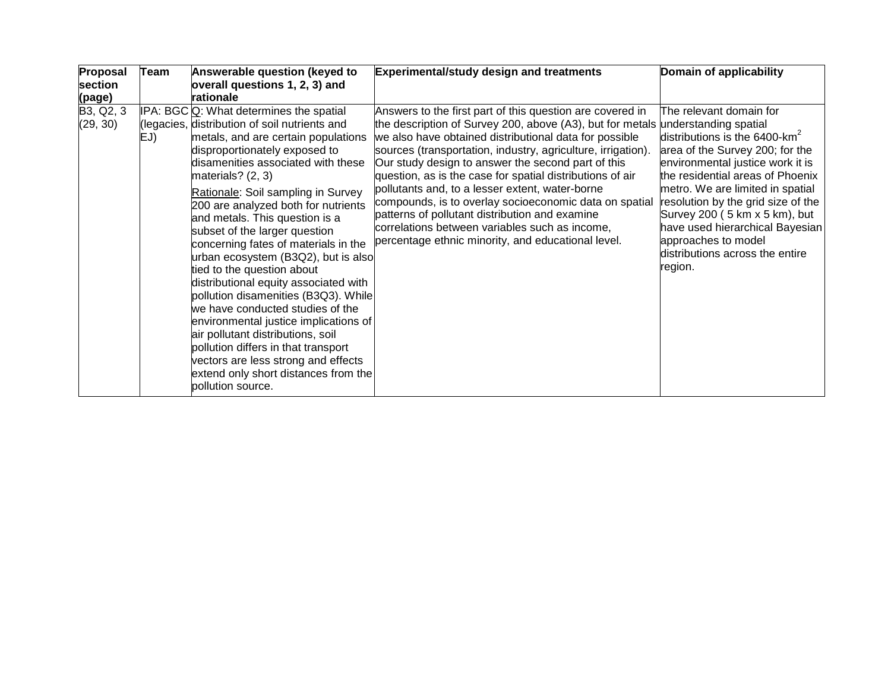| Proposal              | Team | Answerable question (keyed to                                                                                                                                                                                                                                                                                                                                                                                                                                                                                                                                                                                                                                                                                                                                                                                                            | <b>Experimental/study design and treatments</b>                                                                                                                                                                                                                                                                                                                                                                                                                                                                                                                                                                                                                  | Domain of applicability                                                                                                                                                                                                                                                                                                                                                                             |
|-----------------------|------|------------------------------------------------------------------------------------------------------------------------------------------------------------------------------------------------------------------------------------------------------------------------------------------------------------------------------------------------------------------------------------------------------------------------------------------------------------------------------------------------------------------------------------------------------------------------------------------------------------------------------------------------------------------------------------------------------------------------------------------------------------------------------------------------------------------------------------------|------------------------------------------------------------------------------------------------------------------------------------------------------------------------------------------------------------------------------------------------------------------------------------------------------------------------------------------------------------------------------------------------------------------------------------------------------------------------------------------------------------------------------------------------------------------------------------------------------------------------------------------------------------------|-----------------------------------------------------------------------------------------------------------------------------------------------------------------------------------------------------------------------------------------------------------------------------------------------------------------------------------------------------------------------------------------------------|
| section               |      | overall questions 1, 2, 3) and                                                                                                                                                                                                                                                                                                                                                                                                                                                                                                                                                                                                                                                                                                                                                                                                           |                                                                                                                                                                                                                                                                                                                                                                                                                                                                                                                                                                                                                                                                  |                                                                                                                                                                                                                                                                                                                                                                                                     |
| (page)                |      | rationale                                                                                                                                                                                                                                                                                                                                                                                                                                                                                                                                                                                                                                                                                                                                                                                                                                |                                                                                                                                                                                                                                                                                                                                                                                                                                                                                                                                                                                                                                                                  |                                                                                                                                                                                                                                                                                                                                                                                                     |
| B3, Q2, 3<br>(29, 30) | EJ)  | IPA: BGC Q: What determines the spatial<br>(legacies, distribution of soil nutrients and<br>metals, and are certain populations<br>disproportionately exposed to<br>disamenities associated with these<br>materials? $(2, 3)$<br>Rationale: Soil sampling in Survey<br>200 are analyzed both for nutrients<br>and metals. This question is a<br>subset of the larger question<br>concerning fates of materials in the<br>urban ecosystem (B3Q2), but is also<br>tied to the question about<br>distributional equity associated with<br>pollution disamenities (B3Q3). While<br>we have conducted studies of the<br>environmental justice implications of<br>air pollutant distributions, soil<br>pollution differs in that transport<br>vectors are less strong and effects<br>extend only short distances from the<br>pollution source. | Answers to the first part of this question are covered in<br>the description of Survey 200, above (A3), but for metals understanding spatial<br>we also have obtained distributional data for possible<br>sources (transportation, industry, agriculture, irrigation).<br>Our study design to answer the second part of this<br>question, as is the case for spatial distributions of air<br>pollutants and, to a lesser extent, water-borne<br>compounds, is to overlay socioeconomic data on spatial<br>patterns of pollutant distribution and examine<br>correlations between variables such as income,<br>percentage ethnic minority, and educational level. | The relevant domain for<br>distributions is the 6400-km <sup>2</sup><br>area of the Survey 200; for the<br>environmental justice work it is<br>the residential areas of Phoenix<br>metro. We are limited in spatial<br>resolution by the grid size of the<br>Survey 200 ( 5 km x 5 km), but<br>have used hierarchical Bayesian<br>approaches to model<br>distributions across the entire<br>region. |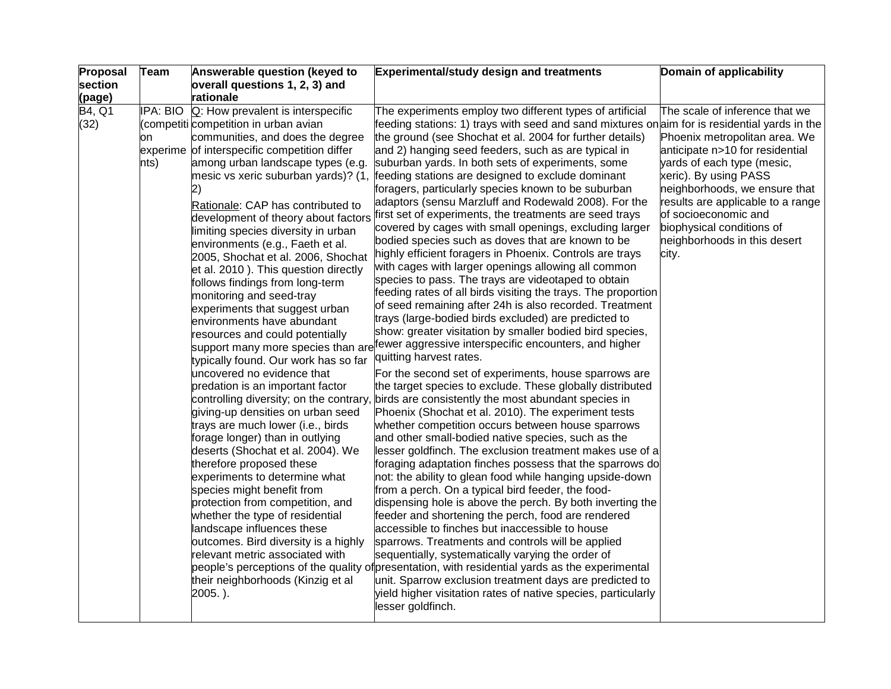| Proposal       | Team                   | Answerable question (keyed to                                                                                                                                                                                                                                                                                                                                                                                                                                                                                                                                                                                                                                                                                                                                                                                                                                                                                                                                                                                                                                                                                                                                                                                                                     | <b>Experimental/study design and treatments</b>                                                                                                                                                                                                                                                                                                                                                                                                                                                                                                                                                                                                                                                                                                                                                                                                                                                                                                                                                                                                                                                                                                                                                                                                                                                                                                                                                                                                                                                                                                                                                                                                                                                                                                                                                                                                                                                                                                                                                                                                                                                                                                                                                                                                                                                                                                                                                                 | Domain of applicability                                                                                                                                                                                                                                                                                                       |
|----------------|------------------------|---------------------------------------------------------------------------------------------------------------------------------------------------------------------------------------------------------------------------------------------------------------------------------------------------------------------------------------------------------------------------------------------------------------------------------------------------------------------------------------------------------------------------------------------------------------------------------------------------------------------------------------------------------------------------------------------------------------------------------------------------------------------------------------------------------------------------------------------------------------------------------------------------------------------------------------------------------------------------------------------------------------------------------------------------------------------------------------------------------------------------------------------------------------------------------------------------------------------------------------------------|-----------------------------------------------------------------------------------------------------------------------------------------------------------------------------------------------------------------------------------------------------------------------------------------------------------------------------------------------------------------------------------------------------------------------------------------------------------------------------------------------------------------------------------------------------------------------------------------------------------------------------------------------------------------------------------------------------------------------------------------------------------------------------------------------------------------------------------------------------------------------------------------------------------------------------------------------------------------------------------------------------------------------------------------------------------------------------------------------------------------------------------------------------------------------------------------------------------------------------------------------------------------------------------------------------------------------------------------------------------------------------------------------------------------------------------------------------------------------------------------------------------------------------------------------------------------------------------------------------------------------------------------------------------------------------------------------------------------------------------------------------------------------------------------------------------------------------------------------------------------------------------------------------------------------------------------------------------------------------------------------------------------------------------------------------------------------------------------------------------------------------------------------------------------------------------------------------------------------------------------------------------------------------------------------------------------------------------------------------------------------------------------------------------------|-------------------------------------------------------------------------------------------------------------------------------------------------------------------------------------------------------------------------------------------------------------------------------------------------------------------------------|
| section        |                        | overall questions 1, 2, 3) and                                                                                                                                                                                                                                                                                                                                                                                                                                                                                                                                                                                                                                                                                                                                                                                                                                                                                                                                                                                                                                                                                                                                                                                                                    |                                                                                                                                                                                                                                                                                                                                                                                                                                                                                                                                                                                                                                                                                                                                                                                                                                                                                                                                                                                                                                                                                                                                                                                                                                                                                                                                                                                                                                                                                                                                                                                                                                                                                                                                                                                                                                                                                                                                                                                                                                                                                                                                                                                                                                                                                                                                                                                                                 |                                                                                                                                                                                                                                                                                                                               |
| (page)         |                        | rationale                                                                                                                                                                                                                                                                                                                                                                                                                                                                                                                                                                                                                                                                                                                                                                                                                                                                                                                                                                                                                                                                                                                                                                                                                                         |                                                                                                                                                                                                                                                                                                                                                                                                                                                                                                                                                                                                                                                                                                                                                                                                                                                                                                                                                                                                                                                                                                                                                                                                                                                                                                                                                                                                                                                                                                                                                                                                                                                                                                                                                                                                                                                                                                                                                                                                                                                                                                                                                                                                                                                                                                                                                                                                                 |                                                                                                                                                                                                                                                                                                                               |
| B4, Q1<br>(32) | IPA: BIO<br>on<br>nts) | $Q$ : How prevalent is interspecific<br>(competiti competition in urban avian<br>communities, and does the degree<br>experime of interspecific competition differ<br>among urban landscape types (e.g.<br>mesic vs xeric suburban yards)? (1,<br>2)<br>Rationale: CAP has contributed to<br>development of theory about factors<br>limiting species diversity in urban<br>environments (e.g., Faeth et al.<br>2005, Shochat et al. 2006, Shochat<br>et al. 2010). This question directly<br>follows findings from long-term<br>monitoring and seed-tray<br>experiments that suggest urban<br>environments have abundant<br>resources and could potentially<br>typically found. Our work has so far<br>uncovered no evidence that<br>predation is an important factor<br>giving-up densities on urban seed<br>trays are much lower (i.e., birds<br>forage longer) than in outlying<br>deserts (Shochat et al. 2004). We<br>therefore proposed these<br>experiments to determine what<br>species might benefit from<br>protection from competition, and<br>whether the type of residential<br>landscape influences these<br>outcomes. Bird diversity is a highly<br>relevant metric associated with<br>their neighborhoods (Kinzig et al<br>2005.). | The experiments employ two different types of artificial<br>feeding stations: 1) trays with seed and sand mixtures on aim for is residential yards in the<br>the ground (see Shochat et al. 2004 for further details)<br>and 2) hanging seed feeders, such as are typical in<br>suburban yards. In both sets of experiments, some<br>feeding stations are designed to exclude dominant<br>foragers, particularly species known to be suburban<br>adaptors (sensu Marzluff and Rodewald 2008). For the<br>first set of experiments, the treatments are seed trays<br>covered by cages with small openings, excluding larger<br>bodied species such as doves that are known to be<br>highly efficient foragers in Phoenix. Controls are trays<br>with cages with larger openings allowing all common<br>species to pass. The trays are videotaped to obtain<br>feeding rates of all birds visiting the trays. The proportion<br>of seed remaining after 24h is also recorded. Treatment<br>trays (large-bodied birds excluded) are predicted to<br>show: greater visitation by smaller bodied bird species,<br>support many more species than are <sup>fewer</sup> aggressive interspecific encounters, and higher<br>quitting harvest rates.<br>For the second set of experiments, house sparrows are<br>the target species to exclude. These globally distributed<br>controlling diversity; on the contrary, birds are consistently the most abundant species in<br>Phoenix (Shochat et al. 2010). The experiment tests<br>whether competition occurs between house sparrows<br>and other small-bodied native species, such as the<br>lesser goldfinch. The exclusion treatment makes use of a<br>foraging adaptation finches possess that the sparrows do<br>not: the ability to glean food while hanging upside-down<br>from a perch. On a typical bird feeder, the food-<br>dispensing hole is above the perch. By both inverting the<br>feeder and shortening the perch, food are rendered<br>accessible to finches but inaccessible to house<br>sparrows. Treatments and controls will be applied<br>sequentially, systematically varying the order of<br>people's perceptions of the quality of presentation, with residential yards as the experimental<br>unit. Sparrow exclusion treatment days are predicted to<br>yield higher visitation rates of native species, particularly<br>lesser goldfinch. | The scale of inference that we<br>Phoenix metropolitan area. We<br>anticipate n>10 for residential<br>yards of each type (mesic,<br>xeric). By using PASS<br>neighborhoods, we ensure that<br>results are applicable to a range<br>of socioeconomic and<br>biophysical conditions of<br>neighborhoods in this desert<br>city. |
|                |                        |                                                                                                                                                                                                                                                                                                                                                                                                                                                                                                                                                                                                                                                                                                                                                                                                                                                                                                                                                                                                                                                                                                                                                                                                                                                   |                                                                                                                                                                                                                                                                                                                                                                                                                                                                                                                                                                                                                                                                                                                                                                                                                                                                                                                                                                                                                                                                                                                                                                                                                                                                                                                                                                                                                                                                                                                                                                                                                                                                                                                                                                                                                                                                                                                                                                                                                                                                                                                                                                                                                                                                                                                                                                                                                 |                                                                                                                                                                                                                                                                                                                               |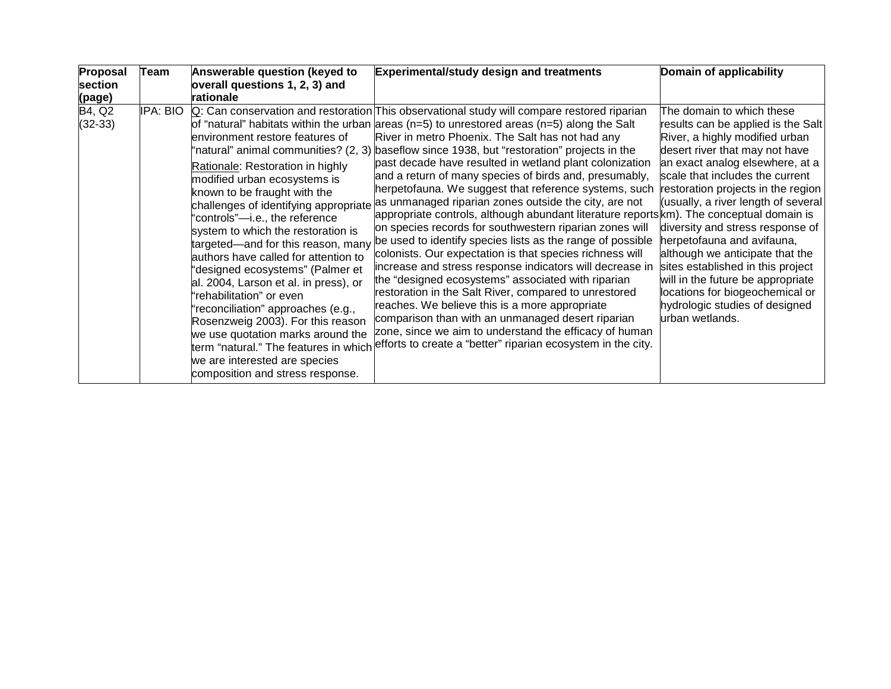| Proposal            | <b>Team</b> | Answerable question (keyed to                                                                                                                                                                                                                                                                                                                                                                                                                                                                                                                                                                                                    | <b>Experimental/study design and treatments</b>                                                                                                                                                                                                                                                                                                                                                                                                                                                                                                                                                                                                                                                                                                                                                                                                                                                                                                                                                                                                                                                                                                                                                                                                                                                                                 | Domain of applicability                                                                                                                                                                                                                                                                                                                                                                                                                                                                                                                                       |
|---------------------|-------------|----------------------------------------------------------------------------------------------------------------------------------------------------------------------------------------------------------------------------------------------------------------------------------------------------------------------------------------------------------------------------------------------------------------------------------------------------------------------------------------------------------------------------------------------------------------------------------------------------------------------------------|---------------------------------------------------------------------------------------------------------------------------------------------------------------------------------------------------------------------------------------------------------------------------------------------------------------------------------------------------------------------------------------------------------------------------------------------------------------------------------------------------------------------------------------------------------------------------------------------------------------------------------------------------------------------------------------------------------------------------------------------------------------------------------------------------------------------------------------------------------------------------------------------------------------------------------------------------------------------------------------------------------------------------------------------------------------------------------------------------------------------------------------------------------------------------------------------------------------------------------------------------------------------------------------------------------------------------------|---------------------------------------------------------------------------------------------------------------------------------------------------------------------------------------------------------------------------------------------------------------------------------------------------------------------------------------------------------------------------------------------------------------------------------------------------------------------------------------------------------------------------------------------------------------|
| section             |             | overall questions 1, 2, 3) and                                                                                                                                                                                                                                                                                                                                                                                                                                                                                                                                                                                                   |                                                                                                                                                                                                                                                                                                                                                                                                                                                                                                                                                                                                                                                                                                                                                                                                                                                                                                                                                                                                                                                                                                                                                                                                                                                                                                                                 |                                                                                                                                                                                                                                                                                                                                                                                                                                                                                                                                                               |
| (page)              |             | rationale                                                                                                                                                                                                                                                                                                                                                                                                                                                                                                                                                                                                                        |                                                                                                                                                                                                                                                                                                                                                                                                                                                                                                                                                                                                                                                                                                                                                                                                                                                                                                                                                                                                                                                                                                                                                                                                                                                                                                                                 |                                                                                                                                                                                                                                                                                                                                                                                                                                                                                                                                                               |
| B4, Q2<br>$(32-33)$ | IPA: BIO    | environment restore features of<br>Rationale: Restoration in highly<br>modified urban ecosystems is<br>known to be fraught with the<br>challenges of identifying appropriate<br>"controls"-i.e., the reference<br>system to which the restoration is<br>targeted—and for this reason, many<br>authors have called for attention to<br>"designed ecosystems" (Palmer et<br>al. 2004, Larson et al. in press), or<br>'rehabilitation" or even<br>'reconciliation" approaches (e.g.,<br>Rosenzweig 2003). For this reason<br>we use quotation marks around the<br>we are interested are species<br>composition and stress response. | Q: Can conservation and restoration This observational study will compare restored riparian<br>of "natural" habitats within the urban areas ( $n=5$ ) to unrestored areas ( $n=5$ ) along the Salt<br>River in metro Phoenix. The Salt has not had any<br>'natural" animal communities? (2, 3) baseflow since 1938, but "restoration" projects in the<br>past decade have resulted in wetland plant colonization<br>and a return of many species of birds and, presumably,<br>herpetofauna. We suggest that reference systems, such<br>as unmanaged riparian zones outside the city, are not<br>appropriate controls, although abundant literature reports km). The conceptual domain is<br>on species records for southwestern riparian zones will<br>be used to identify species lists as the range of possible<br>colonists. Our expectation is that species richness will<br>increase and stress response indicators will decrease in<br>the "designed ecosystems" associated with riparian<br>restoration in the Salt River, compared to unrestored<br>reaches. We believe this is a more appropriate<br>comparison than with an unmanaged desert riparian<br>zone, since we aim to understand the efficacy of human<br>term "natural." The features in which efforts to create a "better" riparian ecosystem in the city. | The domain to which these<br>results can be applied is the Salt<br>River, a highly modified urban<br>desert river that may not have<br>an exact analog elsewhere, at a<br>scale that includes the current<br>restoration projects in the region<br>(usually, a river length of several<br>diversity and stress response of<br>herpetofauna and avifauna,<br>although we anticipate that the<br>sites established in this project<br>will in the future be appropriate<br>locations for biogeochemical or<br>hydrologic studies of designed<br>urban wetlands. |